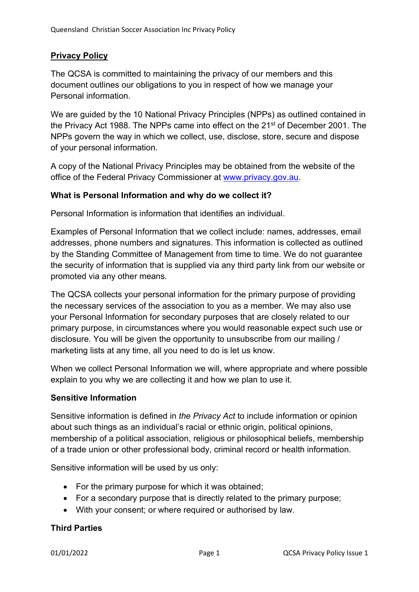## Privacy Policy

The QCSA is committed to maintaining the privacy of our members and this document outlines our obligations to you in respect of how we manage your Personal information.

We are guided by the 10 National Privacy Principles (NPPs) as outlined contained in the Privacy Act 1988. The NPPs came into effect on the 21st of December 2001. The NPPs govern the way in which we collect, use, disclose, store, secure and dispose of your personal information.

A copy of the National Privacy Principles may be obtained from the website of the office of the Federal Privacy Commissioner at www.privacy.gov.au.

#### What is Personal Information and why do we collect it?

Personal Information is information that identifies an individual.

Examples of Personal Information that we collect include: names, addresses, email addresses, phone numbers and signatures. This information is collected as outlined by the Standing Committee of Management from time to time. We do not guarantee the security of information that is supplied via any third party link from our website or promoted via any other means.

The QCSA collects your personal information for the primary purpose of providing the necessary services of the association to you as a member. We may also use your Personal Information for secondary purposes that are closely related to our primary purpose, in circumstances where you would reasonable expect such use or disclosure. You will be given the opportunity to unsubscribe from our mailing / marketing lists at any time, all you need to do is let us know.

When we collect Personal Information we will, where appropriate and where possible explain to you why we are collecting it and how we plan to use it.

#### Sensitive Information

Sensitive information is defined in the Privacy Act to include information or opinion about such things as an individual's racial or ethnic origin, political opinions, membership of a political association, religious or philosophical beliefs, membership of a trade union or other professional body, criminal record or health information.

Sensitive information will be used by us only:

- For the primary purpose for which it was obtained;
- For a secondary purpose that is directly related to the primary purpose;
- With your consent; or where required or authorised by law.

#### Third Parties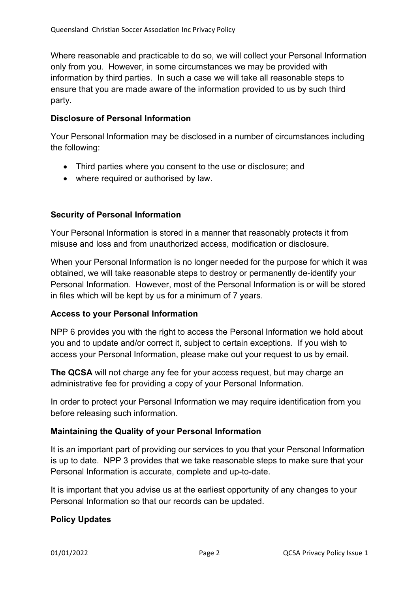Where reasonable and practicable to do so, we will collect your Personal Information only from you. However, in some circumstances we may be provided with information by third parties. In such a case we will take all reasonable steps to ensure that you are made aware of the information provided to us by such third party.

#### Disclosure of Personal Information

Your Personal Information may be disclosed in a number of circumstances including the following:

- Third parties where you consent to the use or disclosure; and
- where required or authorised by law.

## Security of Personal Information

Your Personal Information is stored in a manner that reasonably protects it from misuse and loss and from unauthorized access, modification or disclosure.

When your Personal Information is no longer needed for the purpose for which it was obtained, we will take reasonable steps to destroy or permanently de-identify your Personal Information. However, most of the Personal Information is or will be stored in files which will be kept by us for a minimum of 7 years.

#### Access to your Personal Information

NPP 6 provides you with the right to access the Personal Information we hold about you and to update and/or correct it, subject to certain exceptions. If you wish to access your Personal Information, please make out your request to us by email.

The QCSA will not charge any fee for your access request, but may charge an administrative fee for providing a copy of your Personal Information.

In order to protect your Personal Information we may require identification from you before releasing such information.

#### Maintaining the Quality of your Personal Information

It is an important part of providing our services to you that your Personal Information is up to date. NPP 3 provides that we take reasonable steps to make sure that your Personal Information is accurate, complete and up-to-date.

It is important that you advise us at the earliest opportunity of any changes to your Personal Information so that our records can be updated.

# Policy Updates